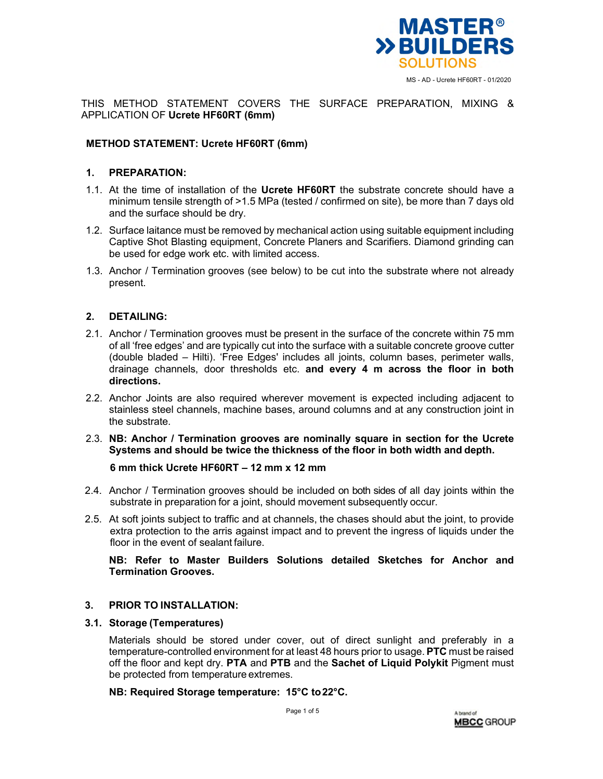

THIS METHOD STATEMENT COVERS THE SURFACE PREPARATION, MIXING & APPLICATION OF **Ucrete HF60RT (6mm)** 

## **METHOD STATEMENT: Ucrete HF60RT (6mm)**

#### **1. PREPARATION:**

- 1.1. At the time of installation of the **Ucrete HF60RT** the substrate concrete should have a minimum tensile strength of >1.5 MPa (tested / confirmed on site), be more than 7 days old and the surface should be dry.
- 1.2. Surface laitance must be removed by mechanical action using suitable equipment including Captive Shot Blasting equipment, Concrete Planers and Scarifiers. Diamond grinding can be used for edge work etc. with limited access.
- 1.3. Anchor / Termination grooves (see below) to be cut into the substrate where not already present.

## **2. DETAILING:**

- 2.1. Anchor / Termination grooves must be present in the surface of the concrete within 75 mm of all 'free edges' and are typically cut into the surface with a suitable concrete groove cutter (double bladed – Hilti). 'Free Edges' includes all joints, column bases, perimeter walls, drainage channels, door thresholds etc. **and every 4 m across the floor in both directions.**
- 2.2. Anchor Joints are also required wherever movement is expected including adjacent to stainless steel channels, machine bases, around columns and at any construction joint in the substrate.
- 2.3. **NB: Anchor / Termination grooves are nominally square in section for the Ucrete Systems and should be twice the thickness of the floor in both width and depth.**

**6 mm thick Ucrete HF60RT – 12 mm x 12 mm** 

- 2.4. Anchor / Termination grooves should be included on both sides of all day joints within the substrate in preparation for a joint, should movement subsequently occur.
- 2.5. At soft joints subject to traffic and at channels, the chases should abut the joint, to provide extra protection to the arris against impact and to prevent the ingress of liquids under the floor in the event of sealant failure.

**NB: Refer to Master Builders Solutions detailed Sketches for Anchor and Termination Grooves.** 

#### **3. PRIOR TO INSTALLATION:**

#### **3.1. Storage (Temperatures)**

Materials should be stored under cover, out of direct sunlight and preferably in a temperature-controlled environment for at least 48 hours prior to usage. **PTC** must be raised off the floor and kept dry. **PTA** and **PTB** and the **Sachet of Liquid Polykit** Pigment must be protected from temperature extremes.

#### **NB: Required Storage temperature: 15°C to 22°C.**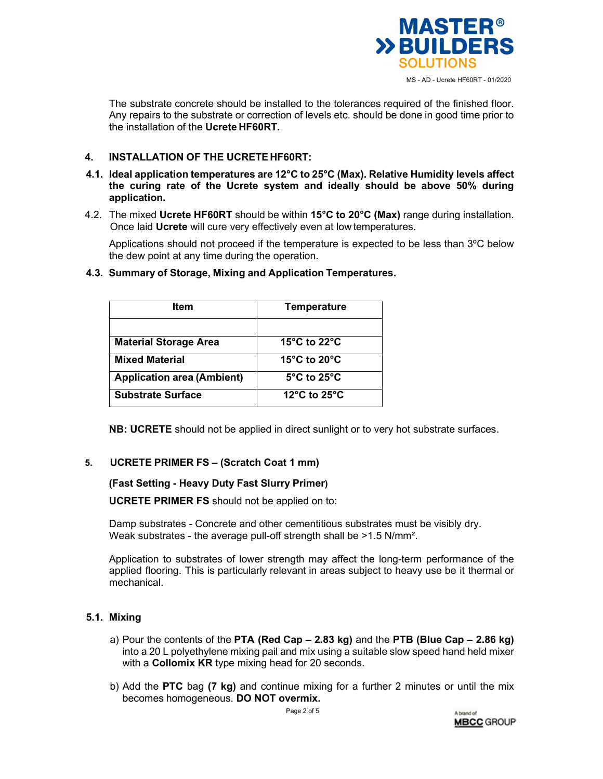

The substrate concrete should be installed to the tolerances required of the finished floor. Any repairs to the substrate or correction of levels etc. should be done in good time prior to the installation of the **Ucrete HF60RT.** 

# **4. INSTALLATION OF THE UCRETE HF60RT:**

- **4.1. Ideal application temperatures are 12°C to 25°C (Max). Relative Humidity levels affect the curing rate of the Ucrete system and ideally should be above 50% during application.**
- 4.2. The mixed **Ucrete HF60RT** should be within **15°C to 20°C (Max)** range during installation. Once laid **Ucrete** will cure very effectively even at low temperatures.

Applications should not proceed if the temperature is expected to be less than 3ºC below the dew point at any time during the operation.

| <b>Item</b>                       | <b>Temperature</b>                                 |
|-----------------------------------|----------------------------------------------------|
| <b>Material Storage Area</b>      | 15 $\degree$ C to 22 $\degree$ C                   |
| <b>Mixed Material</b>             | 15 $\mathrm{^{\circ}C}$ to 20 $\mathrm{^{\circ}C}$ |
| <b>Application area (Ambient)</b> | $5^{\circ}$ C to 25 $^{\circ}$ C                   |
| <b>Substrate Surface</b>          | 12 $\degree$ C to 25 $\degree$ C                   |

## **4.3. Summary of Storage, Mixing and Application Temperatures.**

**NB: UCRETE** should not be applied in direct sunlight or to very hot substrate surfaces.

# **5. UCRETE PRIMER FS – (Scratch Coat 1 mm)**

# **(Fast Setting - Heavy Duty Fast Slurry Primer)**

**UCRETE PRIMER FS** should not be applied on to:

Damp substrates - Concrete and other cementitious substrates must be visibly dry. Weak substrates - the average pull-off strength shall be >1.5 N/mm².

Application to substrates of lower strength may affect the long-term performance of the applied flooring. This is particularly relevant in areas subject to heavy use be it thermal or mechanical.

# **5.1. Mixing**

- a) Pour the contents of the **PTA (Red Cap 2.83 kg)** and the **PTB (Blue Cap 2.86 kg)**  into a 20 L polyethylene mixing pail and mix using a suitable slow speed hand held mixer with a **Collomix KR** type mixing head for 20 seconds.
- b) Add the **PTC** bag **(7 kg)** and continue mixing for a further 2 minutes or until the mix becomes homogeneous. **DO NOT overmix.**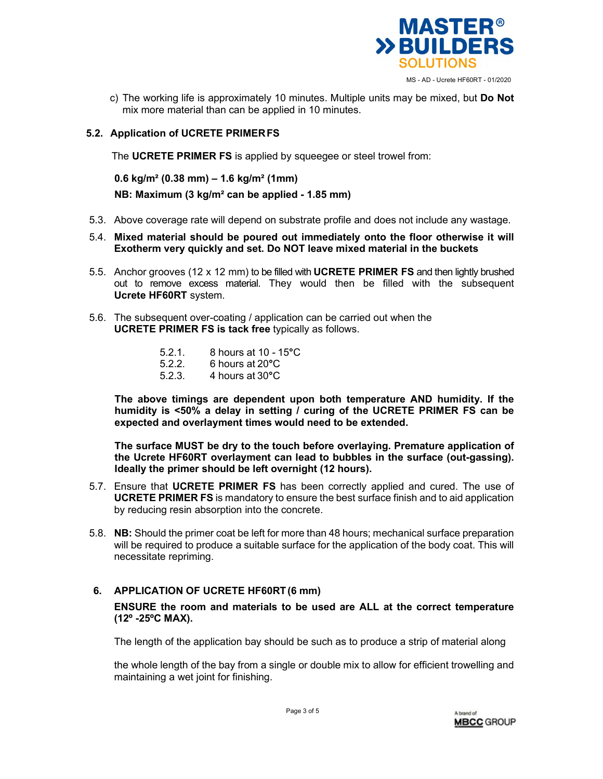

c) The working life is approximately 10 minutes. Multiple units may be mixed, but **Do Not**  mix more material than can be applied in 10 minutes.

# **5.2. Application of UCRETE PRIMER FS**

The **UCRETE PRIMER FS** is applied by squeegee or steel trowel from:

**0.6 kg/m² (0.38 mm) – 1.6 kg/m² (1mm)**

**NB: Maximum (3 kg/m² can be applied - 1.85 mm)** 

- 5.3. Above coverage rate will depend on substrate profile and does not include any wastage.
- 5.4. **Mixed material should be poured out immediately onto the floor otherwise it will Exotherm very quickly and set. Do NOT leave mixed material in the buckets**
- 5.5. Anchor grooves (12 x 12 mm) to be filled with **UCRETE PRIMER FS** and then lightly brushed out to remove excess material. They would then be filled with the subsequent **Ucrete HF60RT** system.
- 5.6. The subsequent over-coating / application can be carried out when the **UCRETE PRIMER FS is tack free** typically as follows.
	- 5.2.1. 8 hours at 10 15**°**C
	- 5.2.2. 6 hours at 20**°**C
	- 5.2.3. 4 hours at 30**°**C

**The above timings are dependent upon both temperature AND humidity. If the humidity is <50% a delay in setting / curing of the UCRETE PRIMER FS can be expected and overlayment times would need to be extended.** 

**The surface MUST be dry to the touch before overlaying. Premature application of the Ucrete HF60RT overlayment can lead to bubbles in the surface (out-gassing). Ideally the primer should be left overnight (12 hours).** 

- 5.7. Ensure that **UCRETE PRIMER FS** has been correctly applied and cured. The use of **UCRETE PRIMER FS** is mandatory to ensure the best surface finish and to aid application by reducing resin absorption into the concrete.
- 5.8. **NB:** Should the primer coat be left for more than 48 hours; mechanical surface preparation will be required to produce a suitable surface for the application of the body coat. This will necessitate repriming.

# **6. APPLICATION OF UCRETE HF60RT (6 mm)**

**ENSURE the room and materials to be used are ALL at the correct temperature (12º -25ºC MAX).** 

The length of the application bay should be such as to produce a strip of material along

the whole length of the bay from a single or double mix to allow for efficient trowelling and maintaining a wet joint for finishing.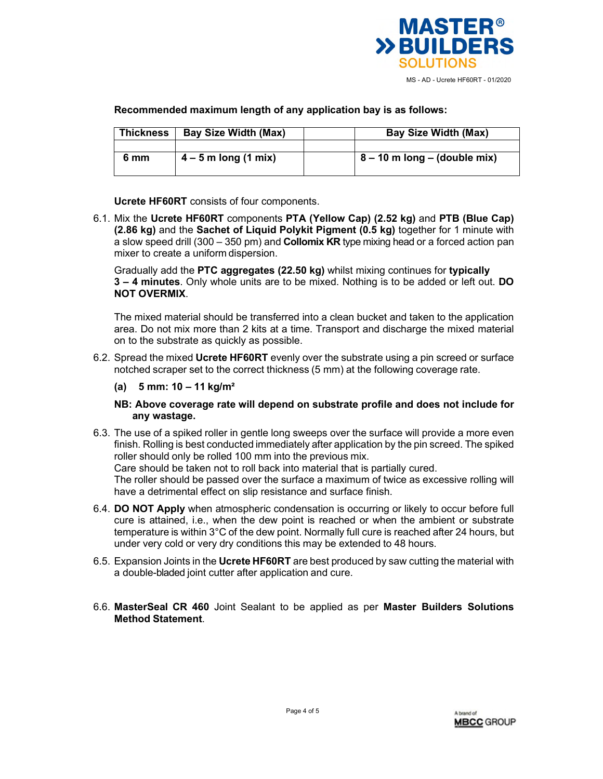

## **Recommended maximum length of any application bay is as follows:**

| <b>Thickness</b> | <b>Bay Size Width (Max)</b> | <b>Bay Size Width (Max)</b>      |
|------------------|-----------------------------|----------------------------------|
|                  |                             |                                  |
| 6 mm             | $4 - 5$ m long (1 mix)      | $8 - 10$ m long $-$ (double mix) |

**Ucrete HF60RT** consists of four components.

6.1. Mix the **Ucrete HF60RT** components **PTA (Yellow Cap) (2.52 kg)** and **PTB (Blue Cap) (2.86 kg)** and the **Sachet of Liquid Polykit Pigment (0.5 kg)** together for 1 minute with a slow speed drill (300 – 350 pm) and **Collomix KR** type mixing head or a forced action pan mixer to create a uniform dispersion.

Gradually add the **PTC aggregates (22.50 kg)** whilst mixing continues for **typically 3 – 4 minutes**. Only whole units are to be mixed. Nothing is to be added or left out. **DO NOT OVERMIX**.

The mixed material should be transferred into a clean bucket and taken to the application area. Do not mix more than 2 kits at a time. Transport and discharge the mixed material on to the substrate as quickly as possible.

- 6.2. Spread the mixed **Ucrete HF60RT** evenly over the substrate using a pin screed or surface notched scraper set to the correct thickness (5 mm) at the following coverage rate.
	- **(a) 5 mm: 10 11 kg/m²**

#### **NB: Above coverage rate will depend on substrate profile and does not include for any wastage.**

6.3. The use of a spiked roller in gentle long sweeps over the surface will provide a more even finish. Rolling is best conducted immediately after application by the pin screed. The spiked roller should only be rolled 100 mm into the previous mix.

Care should be taken not to roll back into material that is partially cured. The roller should be passed over the surface a maximum of twice as excessive rolling will

have a detrimental effect on slip resistance and surface finish.

- 6.4. **DO NOT Apply** when atmospheric condensation is occurring or likely to occur before full cure is attained, i.e., when the dew point is reached or when the ambient or substrate temperature is within 3°C of the dew point. Normally full cure is reached after 24 hours, but under very cold or very dry conditions this may be extended to 48 hours.
- 6.5. Expansion Joints in the **Ucrete HF60RT** are best produced by saw cutting the material with a double-bladed joint cutter after application and cure.
- 6.6. **MasterSeal CR 460** Joint Sealant to be applied as per **Master Builders Solutions Method Statement**.